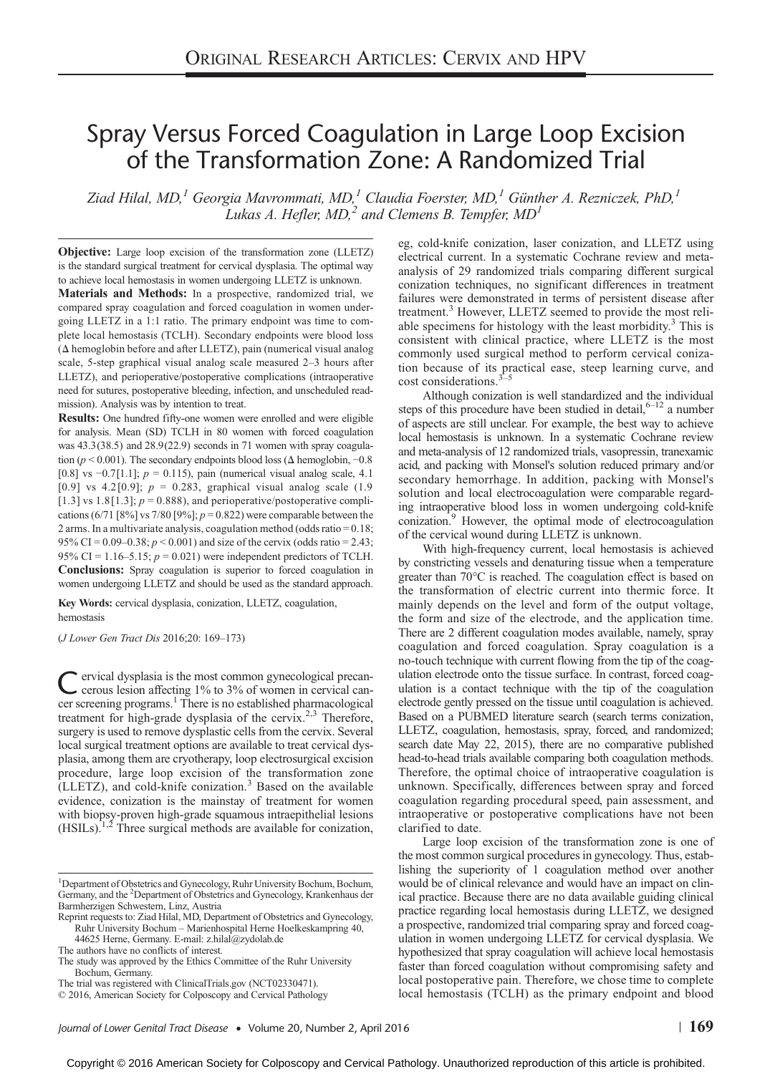# Spray Versus Forced Coagulation in Large Loop Excision of the Transformation Zone: A Randomized Trial

Ziad Hilal, MD,<sup>1</sup> Georgia Mavrommati, MD,<sup>1</sup> Claudia Foerster, MD,<sup>1</sup> Günther A. Rezniczek, PhD,<sup>1</sup> Lukas A. Hefler, MD,<sup>2</sup> and Clemens B. Tempfer, MD<sup>1</sup>

Objective: Large loop excision of the transformation zone (LLETZ) is the standard surgical treatment for cervical dysplasia. The optimal way to achieve local hemostasis in women undergoing LLETZ is unknown. Materials and Methods: In a prospective, randomized trial, we compared spray coagulation and forced coagulation in women undergoing LLETZ in a 1:1 ratio. The primary endpoint was time to complete local hemostasis (TCLH). Secondary endpoints were blood loss (Δ hemoglobin before and after LLETZ), pain (numerical visual analog scale, 5-step graphical visual analog scale measured 2–3 hours after LLETZ), and perioperative/postoperative complications (intraoperative need for sutures, postoperative bleeding, infection, and unscheduled readmission). Analysis was by intention to treat.

Results: One hundred fifty-one women were enrolled and were eligible for analysis. Mean (SD) TCLH in 80 women with forced coagulation was 43.3(38.5) and 28.9(22.9) seconds in 71 women with spray coagulation ( $p \le 0.001$ ). The secondary endpoints blood loss ( $\Delta$  hemoglobin, -0.8 [0.8] vs  $-0.7[1.1]$ ;  $p = 0.115$ ), pain (numerical visual analog scale, 4.1 [0.9] vs 4.2 [0.9];  $p = 0.283$ , graphical visual analog scale (1.9) [1.3] vs 1.8 [1.3];  $p = 0.888$ ), and perioperative/postoperative complications (6/71 [8%] vs 7/80 [9%];  $p = 0.822$ ) were comparable between the 2 arms. In a multivariate analysis, coagulation method (odds ratio = 0.18; 95% CI = 0.09–0.38;  $p < 0.001$ ) and size of the cervix (odds ratio = 2.43; 95% CI = 1.16–5.15;  $p = 0.021$ ) were independent predictors of TCLH. Conclusions: Spray coagulation is superior to forced coagulation in women undergoing LLETZ and should be used as the standard approach.

Key Words: cervical dysplasia, conization, LLETZ, coagulation,

hemostasis

(J Lower Gen Tract Dis 2016;20: 169–173)

 $\sum$  ervical dysplasia is the most common gynecological precan-<br>cerous lesion affecting 1% to 3% of women in cervical cancer screening programs.<sup>1</sup> There is no established pharmacological treatment for high-grade dysplasia of the cervix.<sup>2,3</sup> Therefore, surgery is used to remove dysplastic cells from the cervix. Several local surgical treatment options are available to treat cervical dysplasia, among them are cryotherapy, loop electrosurgical excision procedure, large loop excision of the transformation zone (LLETZ), and cold-knife conization.<sup>3</sup> Based on the available evidence, conization is the mainstay of treatment for women with biopsy-proven high-grade squamous intraepithelial lesions  $(HSILs).$ <sup>1,2</sup> Three surgical methods are available for conization, eg, cold-knife conization, laser conization, and LLETZ using electrical current. In a systematic Cochrane review and metaanalysis of 29 randomized trials comparing different surgical conization techniques, no significant differences in treatment failures were demonstrated in terms of persistent disease after treatment.<sup>3</sup> However, LLETZ seemed to provide the most reliable specimens for histology with the least morbidity. $3$  This is consistent with clinical practice, where LLETZ is the most commonly used surgical method to perform cervical conization because of its practical ease, steep learning curve, and cost considerations.<sup>3</sup>

Although conization is well standardized and the individual steps of this procedure have been studied in detail,  $6-12$  a number of aspects are still unclear. For example, the best way to achieve local hemostasis is unknown. In a systematic Cochrane review and meta-analysis of 12 randomized trials, vasopressin, tranexamic acid, and packing with Monsel's solution reduced primary and/or secondary hemorrhage. In addition, packing with Monsel's solution and local electrocoagulation were comparable regarding intraoperative blood loss in women undergoing cold-knife conization.<sup>9</sup> However, the optimal mode of electrocoagulation of the cervical wound during LLETZ is unknown.

With high-frequency current, local hemostasis is achieved by constricting vessels and denaturing tissue when a temperature greater than 70°C is reached. The coagulation effect is based on the transformation of electric current into thermic force. It mainly depends on the level and form of the output voltage, the form and size of the electrode, and the application time. There are 2 different coagulation modes available, namely, spray coagulation and forced coagulation. Spray coagulation is a no-touch technique with current flowing from the tip of the coagulation electrode onto the tissue surface. In contrast, forced coagulation is a contact technique with the tip of the coagulation electrode gently pressed on the tissue until coagulation is achieved. Based on a PUBMED literature search (search terms conization, LLETZ, coagulation, hemostasis, spray, forced, and randomized; search date May 22, 2015), there are no comparative published head-to-head trials available comparing both coagulation methods. Therefore, the optimal choice of intraoperative coagulation is unknown. Specifically, differences between spray and forced coagulation regarding procedural speed, pain assessment, and intraoperative or postoperative complications have not been clarified to date.

Large loop excision of the transformation zone is one of the most common surgical procedures in gynecology. Thus, establishing the superiority of 1 coagulation method over another would be of clinical relevance and would have an impact on clinical practice. Because there are no data available guiding clinical practice regarding local hemostasis during LLETZ, we designed a prospective, randomized trial comparing spray and forced coagulation in women undergoing LLETZ for cervical dysplasia. We hypothesized that spray coagulation will achieve local hemostasis faster than forced coagulation without compromising safety and local postoperative pain. Therefore, we chose time to complete local hemostasis (TCLH) as the primary endpoint and blood

<sup>&</sup>lt;sup>1</sup>Department of Obstetrics and Gynecology, Ruhr University Bochum, Bochum, Germany, and the <sup>2</sup>Department of Obstetrics and Gynecology, Krankenhaus der Barmherzigen Schwestern, Linz, Austria

Reprint requests to: Ziad Hilal, MD, Department of Obstetrics and Gynecology, Ruhr University Bochum – Marienhospital Herne Hoelkeskampring 40, 44625 Herne, Germany. E-mail: [z.hilal@zydolab.de](mailto:z.hilal@zydolab.de)

The authors have no conflicts of interest.

The study was approved by the Ethics Committee of the Ruhr University Bochum, Germany.

The trial was registered with ClinicalTrials.gov (NCT02330471).

<sup>© 2016,</sup> American Society for Colposcopy and Cervical Pathology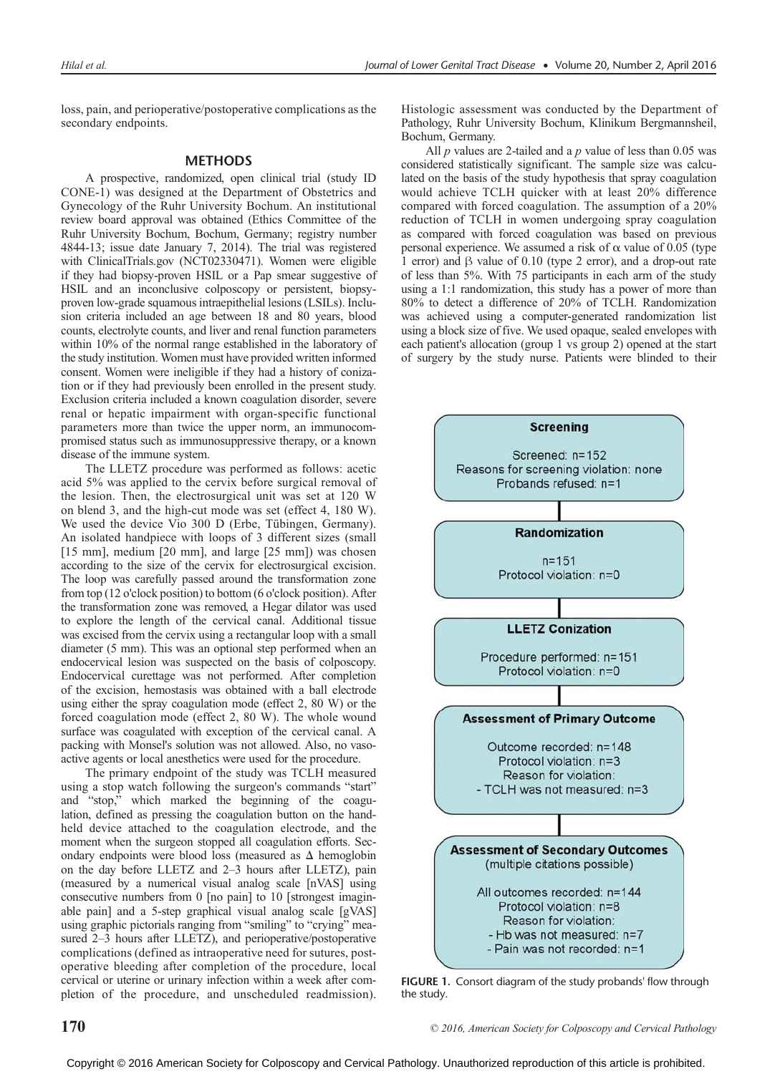loss, pain, and perioperative/postoperative complications as the secondary endpoints.

### **METHODS**

A prospective, randomized, open clinical trial (study ID CONE-1) was designed at the Department of Obstetrics and Gynecology of the Ruhr University Bochum. An institutional review board approval was obtained (Ethics Committee of the Ruhr University Bochum, Bochum, Germany; registry number 4844-13; issue date January 7, 2014). The trial was registered with ClinicalTrials.gov (NCT02330471). Women were eligible if they had biopsy-proven HSIL or a Pap smear suggestive of HSIL and an inconclusive colposcopy or persistent, biopsyproven low-grade squamous intraepithelial lesions (LSILs). Inclusion criteria included an age between 18 and 80 years, blood counts, electrolyte counts, and liver and renal function parameters within 10% of the normal range established in the laboratory of the study institution. Women must have provided written informed consent. Women were ineligible if they had a history of conization or if they had previously been enrolled in the present study. Exclusion criteria included a known coagulation disorder, severe renal or hepatic impairment with organ-specific functional parameters more than twice the upper norm, an immunocompromised status such as immunosuppressive therapy, or a known disease of the immune system.

The LLETZ procedure was performed as follows: acetic acid 5% was applied to the cervix before surgical removal of the lesion. Then, the electrosurgical unit was set at 120 W on blend 3, and the high-cut mode was set (effect 4, 180 W). We used the device Vio 300 D (Erbe, Tübingen, Germany). An isolated handpiece with loops of 3 different sizes (small [15 mm], medium [20 mm], and large [25 mm]) was chosen according to the size of the cervix for electrosurgical excision. The loop was carefully passed around the transformation zone from top (12 o'clock position) to bottom (6 o'clock position). After the transformation zone was removed, a Hegar dilator was used to explore the length of the cervical canal. Additional tissue was excised from the cervix using a rectangular loop with a small diameter (5 mm). This was an optional step performed when an endocervical lesion was suspected on the basis of colposcopy. Endocervical curettage was not performed. After completion of the excision, hemostasis was obtained with a ball electrode using either the spray coagulation mode (effect 2, 80 W) or the forced coagulation mode (effect 2, 80 W). The whole wound surface was coagulated with exception of the cervical canal. A packing with Monsel's solution was not allowed. Also, no vasoactive agents or local anesthetics were used for the procedure.

The primary endpoint of the study was TCLH measured using a stop watch following the surgeon's commands "start" and "stop," which marked the beginning of the coagulation, defined as pressing the coagulation button on the handheld device attached to the coagulation electrode, and the moment when the surgeon stopped all coagulation efforts. Secondary endpoints were blood loss (measured as Δ hemoglobin on the day before LLETZ and 2–3 hours after LLETZ), pain (measured by a numerical visual analog scale [nVAS] using consecutive numbers from 0 [no pain] to 10 [strongest imaginable pain] and a 5-step graphical visual analog scale [gVAS] using graphic pictorials ranging from "smiling" to "crying" measured 2–3 hours after LLETZ), and perioperative/postoperative complications (defined as intraoperative need for sutures, postoperative bleeding after completion of the procedure, local cervical or uterine or urinary infection within a week after completion of the procedure, and unscheduled readmission). Histologic assessment was conducted by the Department of Pathology, Ruhr University Bochum, Klinikum Bergmannsheil, Bochum, Germany.

All  $p$  values are 2-tailed and a  $p$  value of less than 0.05 was considered statistically significant. The sample size was calculated on the basis of the study hypothesis that spray coagulation would achieve TCLH quicker with at least 20% difference compared with forced coagulation. The assumption of a 20% reduction of TCLH in women undergoing spray coagulation as compared with forced coagulation was based on previous personal experience. We assumed a risk of  $α$  value of 0.05 (type 1 error) and β value of 0.10 (type 2 error), and a drop-out rate of less than 5%. With 75 participants in each arm of the study using a 1:1 randomization, this study has a power of more than 80% to detect a difference of 20% of TCLH. Randomization was achieved using a computer-generated randomization list using a block size of five. We used opaque, sealed envelopes with each patient's allocation (group 1 vs group 2) opened at the start of surgery by the study nurse. Patients were blinded to their



FIGURE 1. Consort diagram of the study probands' flow through the study.

**<sup>170</sup>**  $\degree$  2016, American Society for Colposcopy and Cervical Pathology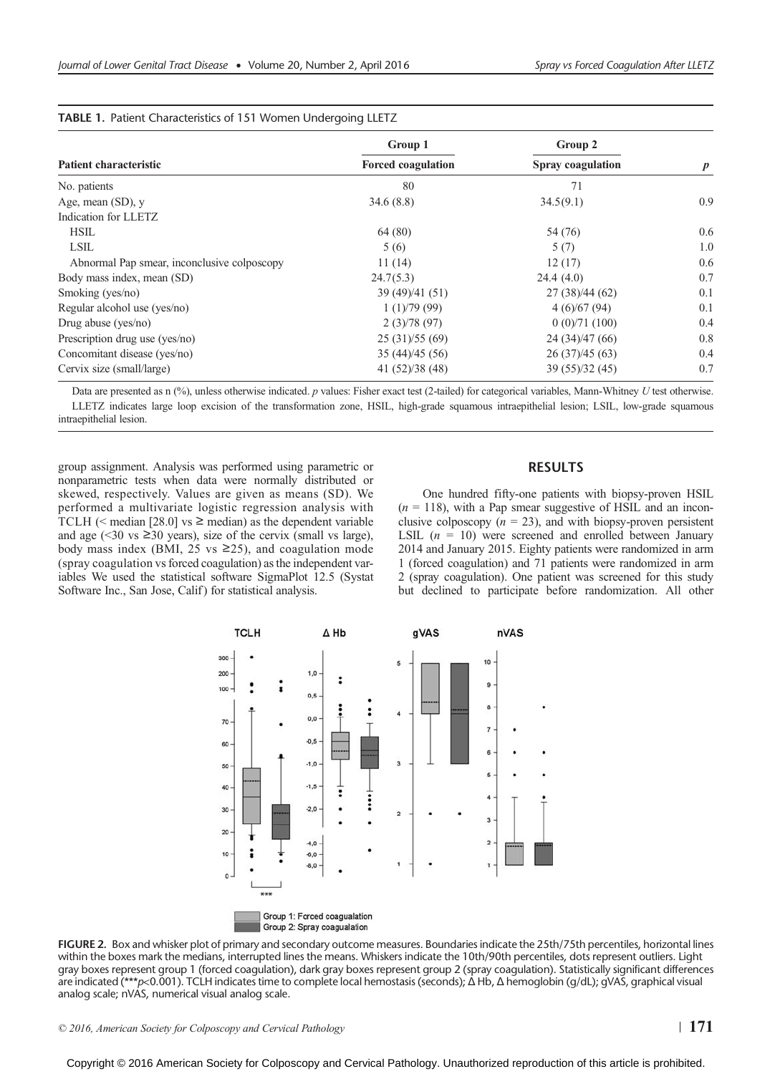|  | <b>TABLE 1. Patient Characteristics of 151 Women Undergoing LLETZ</b> |
|--|-----------------------------------------------------------------------|

|                                             | Group 1                   | Group 2                  | $\boldsymbol{p}$ |
|---------------------------------------------|---------------------------|--------------------------|------------------|
| Patient characteristic                      | <b>Forced coagulation</b> | <b>Spray coagulation</b> |                  |
| No. patients                                | 80                        | 71                       |                  |
| Age, mean $(SD)$ , y                        | 34.6(8.8)                 | 34.5(9.1)                | 0.9              |
| Indication for LLETZ                        |                           |                          |                  |
| <b>HSIL</b>                                 | 64(80)                    | 54 (76)                  | 0.6              |
| <b>LSIL</b>                                 | 5(6)                      | 5(7)                     | 1.0              |
| Abnormal Pap smear, inconclusive colposcopy | 11(14)                    | 12(17)                   | 0.6              |
| Body mass index, mean (SD)                  | 24.7(5.3)                 | 24.4(4.0)                | 0.7              |
| Smoking (yes/no)                            | 39 (49)/41 (51)           | 27(38)/44(62)            | 0.1              |
| Regular alcohol use (yes/no)                | 1(1)/79(99)               | 4(6)/67(94)              | 0.1              |
| Drug abuse (yes/no)                         | 2(3)/78(97)               | 0(0)/71(100)             | 0.4              |
| Prescription drug use (yes/no)              | 25(31)/55(69)             | 24 (34)/47 (66)          | 0.8              |
| Concomitant disease (yes/no)                | 35(44)/45(56)             | 26(37)/45(63)            | 0.4              |
| Cervix size (small/large)                   | 41 (52)/38 (48)           | 39 (55)/32 (45)          | 0.7              |

Data are presented as n  $(\%)$ , unless otherwise indicated. p values: Fisher exact test (2-tailed) for categorical variables, Mann-Whitney U test otherwise. LLETZ indicates large loop excision of the transformation zone, HSIL, high-grade squamous intraepithelial lesion; LSIL, low-grade squamous intraepithelial lesion.

group assignment. Analysis was performed using parametric or nonparametric tests when data were normally distributed or skewed, respectively. Values are given as means (SD). We performed a multivariate logistic regression analysis with TCLH ( $\leq$  median [28.0] vs  $\geq$  median) as the dependent variable and age (<30 vs  $\geq$ 30 years), size of the cervix (small vs large), body mass index (BMI, 25 vs  $\geq$ 25), and coagulation mode (spray coagulation vs forced coagulation) as the independent variables We used the statistical software SigmaPlot 12.5 (Systat Software Inc., San Jose, Calif) for statistical analysis.

## RESULTS

One hundred fifty-one patients with biopsy-proven HSIL  $(n = 118)$ , with a Pap smear suggestive of HSIL and an inconclusive colposcopy ( $n = 23$ ), and with biopsy-proven persistent LSIL  $(n = 10)$  were screened and enrolled between January 2014 and January 2015. Eighty patients were randomized in arm 1 (forced coagulation) and 71 patients were randomized in arm 2 (spray coagulation). One patient was screened for this study but declined to participate before randomization. All other



FIGURE 2. Box and whisker plot of primary and secondary outcome measures. Boundaries indicate the 25th/75th percentiles, horizontal lines within the boxes mark the medians, interrupted lines the means. Whiskers indicate the 10th/90th percentiles, dots represent outliers. Light gray boxes represent group 1 (forced coagulation), dark gray boxes represent group 2 (spray coagulation). Statistically significant differences are indicated (\*\*\*p<0.001). TCLH indicates time to complete local hemostasis (seconds); Δ Hb, Δ hemoglobin (g/dL); gVAS, graphical visual analog scale; nVAS, numerical visual analog scale.

© 2016, American Society for Colposcopy and Cervical Pathology  $171$ 

Copyright © 2016 American Society for Colposcopy and Cervical Pathology. Unauthorized reproduction of this article is prohibited.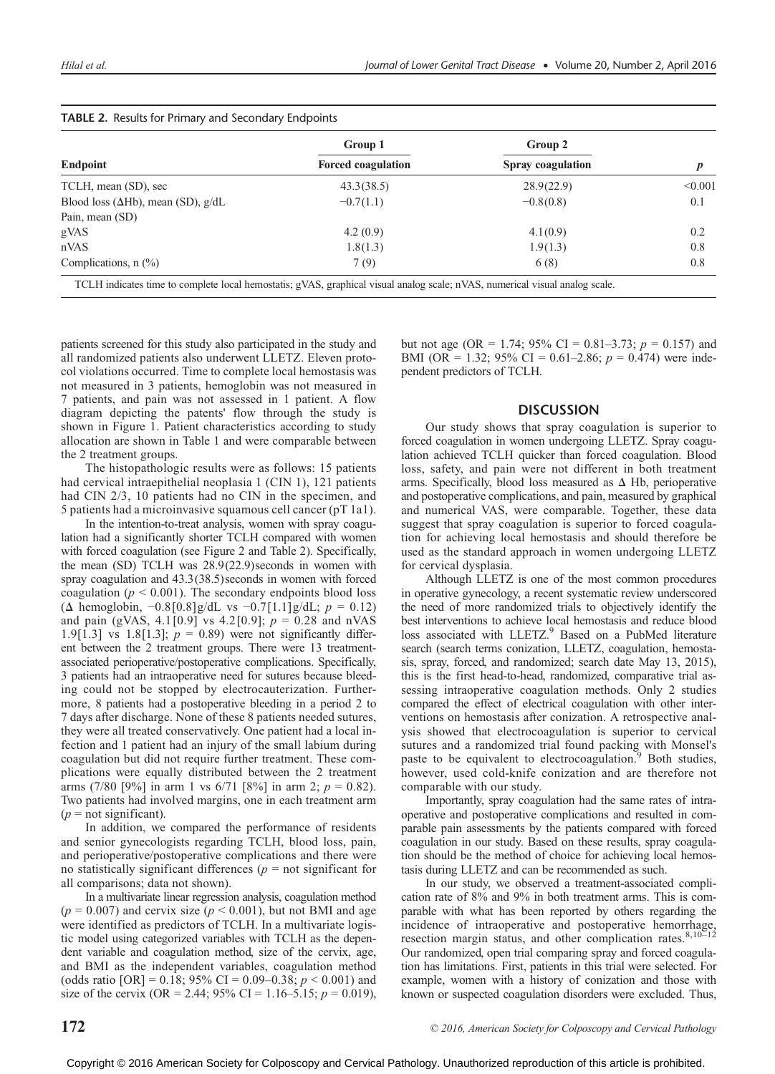| <b>Endpoint</b>                               | Group 1                   | Group 2           |         |
|-----------------------------------------------|---------------------------|-------------------|---------|
|                                               | <b>Forced coagulation</b> | Spray coagulation |         |
| TCLH, mean (SD), sec                          | 43.3(38.5)                | 28.9(22.9)        | < 0.001 |
| Blood loss ( $\Delta Hb$ ), mean (SD), $g/dL$ | $-0.7(1.1)$               | $-0.8(0.8)$       | 0.1     |
| Pain, mean (SD)                               |                           |                   |         |
| gVAS                                          | 4.2(0.9)                  | 4.1(0.9)          | 0.2     |
| nVAS                                          | 1.8(1.3)                  | 1.9(1.3)          | 0.8     |
| Complications, $n$ $\left(\frac{9}{6}\right)$ | 7(9)                      | 6(8)              | 0.8     |

| TABLE 2. Results for Primary and Secondary Endpoints |  |  |
|------------------------------------------------------|--|--|
|------------------------------------------------------|--|--|

patients screened for this study also participated in the study and all randomized patients also underwent LLETZ. Eleven protocol violations occurred. Time to complete local hemostasis was not measured in 3 patients, hemoglobin was not measured in 7 patients, and pain was not assessed in 1 patient. A flow diagram depicting the patents' flow through the study is shown in Figure 1. Patient characteristics according to study allocation are shown in Table 1 and were comparable between the 2 treatment groups.

The histopathologic results were as follows: 15 patients had cervical intraepithelial neoplasia 1 (CIN 1), 121 patients had CIN 2/3, 10 patients had no CIN in the specimen, and 5 patients had a microinvasive squamous cell cancer (pT 1a1).

In the intention-to-treat analysis, women with spray coagulation had a significantly shorter TCLH compared with women with forced coagulation (see Figure 2 and Table 2). Specifically, the mean (SD) TCLH was 28.9(22.9)seconds in women with spray coagulation and  $43.3(38.5)$  seconds in women with forced coagulation ( $p < 0.001$ ). The secondary endpoints blood loss ( $\Delta$  hemoglobin, -0.8 [0.8]g/dL vs -0.7[1.1]g/dL;  $p = 0.12$ ) and pain (gVAS, 4.1[0.9] vs 4.2[0.9];  $p = 0.28$  and nVAS 1.9[1.3] vs 1.8[1.3];  $p = 0.89$ ) were not significantly different between the 2 treatment groups. There were 13 treatmentassociated perioperative/postoperative complications. Specifically, 3 patients had an intraoperative need for sutures because bleeding could not be stopped by electrocauterization. Furthermore, 8 patients had a postoperative bleeding in a period 2 to 7 days after discharge. None of these 8 patients needed sutures, they were all treated conservatively. One patient had a local infection and 1 patient had an injury of the small labium during coagulation but did not require further treatment. These complications were equally distributed between the 2 treatment arms (7/80 [9%] in arm 1 vs 6/71 [8%] in arm 2;  $p = 0.82$ ). Two patients had involved margins, one in each treatment arm  $(p = not significant)$ .

In addition, we compared the performance of residents and senior gynecologists regarding TCLH, blood loss, pain, and perioperative/postoperative complications and there were no statistically significant differences ( $p =$  not significant for all comparisons; data not shown).

In a multivariate linear regression analysis, coagulation method  $(p = 0.007)$  and cervix size  $(p < 0.001)$ , but not BMI and age were identified as predictors of TCLH. In a multivariate logistic model using categorized variables with TCLH as the dependent variable and coagulation method, size of the cervix, age, and BMI as the independent variables, coagulation method (odds ratio  $[OR] = 0.18$ ; 95% CI = 0.09–0.38;  $p < 0.001$ ) and size of the cervix (OR = 2.44; 95% CI = 1.16–5.15;  $p = 0.019$ ),

but not age (OR = 1.74; 95% CI = 0.81–3.73;  $p = 0.157$ ) and BMI (OR = 1.32; 95% CI = 0.61–2.86;  $p = 0.474$ ) were independent predictors of TCLH.

#### **DISCUSSION**

Our study shows that spray coagulation is superior to forced coagulation in women undergoing LLETZ. Spray coagulation achieved TCLH quicker than forced coagulation. Blood loss, safety, and pain were not different in both treatment arms. Specifically, blood loss measured as  $\Delta$  Hb, perioperative and postoperative complications, and pain, measured by graphical and numerical VAS, were comparable. Together, these data suggest that spray coagulation is superior to forced coagulation for achieving local hemostasis and should therefore be used as the standard approach in women undergoing LLETZ for cervical dysplasia.

Although LLETZ is one of the most common procedures in operative gynecology, a recent systematic review underscored the need of more randomized trials to objectively identify the best interventions to achieve local hemostasis and reduce blood loss associated with LLETZ.<sup>9</sup> Based on a PubMed literature search (search terms conization, LLETZ, coagulation, hemostasis, spray, forced, and randomized; search date May 13, 2015), this is the first head-to-head, randomized, comparative trial assessing intraoperative coagulation methods. Only 2 studies compared the effect of electrical coagulation with other interventions on hemostasis after conization. A retrospective analysis showed that electrocoagulation is superior to cervical sutures and a randomized trial found packing with Monsel's paste to be equivalent to electrocoagulation.<sup>9</sup> Both studies, however, used cold-knife conization and are therefore not comparable with our study.

Importantly, spray coagulation had the same rates of intraoperative and postoperative complications and resulted in comparable pain assessments by the patients compared with forced coagulation in our study. Based on these results, spray coagulation should be the method of choice for achieving local hemostasis during LLETZ and can be recommended as such.

In our study, we observed a treatment-associated complication rate of 8% and 9% in both treatment arms. This is comparable with what has been reported by others regarding the incidence of intraoperative and postoperative hemorrhage, resection margin status, and other complication rates.<sup>8,10–12</sup> Our randomized, open trial comparing spray and forced coagulation has limitations. First, patients in this trial were selected. For example, women with a history of conization and those with known or suspected coagulation disorders were excluded. Thus,